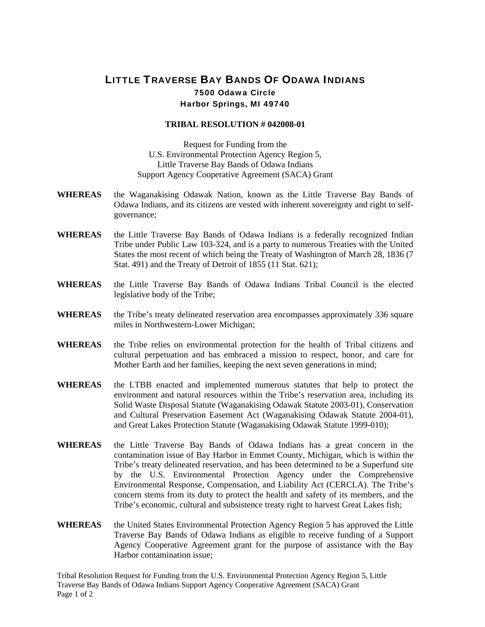## LITTLE TRAVERSE BAY BANDS OF ODAWA INDIANS 7500 Odawa Circle Harbor Springs, MI 49740

## **TRIBAL RESOLUTION # 042008-01**

Request for Funding from the U.S. Environmental Protection Agency Region 5, Little Traverse Bay Bands of Odawa Indians Support Agency Cooperative Agreement (SACA) Grant

- **WHEREAS** the Waganakising Odawak Nation, known as the Little Traverse Bay Bands of Odawa Indians, and its citizens are vested with inherent sovereignty and right to selfgovernance;
- **WHEREAS** the Little Traverse Bay Bands of Odawa Indians is a federally recognized Indian Tribe under Public Law 103-324, and is a party to numerous Treaties with the United States the most recent of which being the Treaty of Washington of March 28, 1836 (7 Stat. 491) and the Treaty of Detroit of 1855 (11 Stat. 621);
- **WHEREAS** the Little Traverse Bay Bands of Odawa Indians Tribal Council is the elected legislative body of the Tribe;
- WHEREAS the Tribe's treaty delineated reservation area encompasses approximately 336 square miles in Northwestern-Lower Michigan;
- **WHEREAS** the Tribe relies on environmental protection for the health of Tribal citizens and cultural perpetuation and has embraced a mission to respect, honor, and care for Mother Earth and her families, keeping the next seven generations in mind;
- **WHEREAS** the LTBB enacted and implemented numerous statutes that help to protect the environment and natural resources within the Tribe's reservation area, including its Solid Waste Disposal Statute (Waganakising Odawak Statute 2003-01), Conservation and Cultural Preservation Easement Act (Waganakising Odawak Statute 2004-01), and Great Lakes Protection Statute (Waganakising Odawak Statute 1999-010);
- **WHEREAS** the Little Traverse Bay Bands of Odawa Indians has a great concern in the contamination issue of Bay Harbor in Emmet County, Michigan, which is within the Tribe's treaty delineated reservation, and has been determined to be a Superfund site by the U.S. Environmental Protection Agency under the Comprehensive Environmental Response, Compensation, and Liability Act (CERCLA). The Tribe's concern stems from its duty to protect the health and safety of its members, and the Tribe's economic, cultural and subsistence treaty right to harvest Great Lakes fish;
- **WHEREAS** the United States Environmental Protection Agency Region 5 has approved the Little Traverse Bay Bands of Odawa Indians as eligible to receive funding of a Support Agency Cooperative Agreement grant for the purpose of assistance with the Bay Harbor contamination issue;